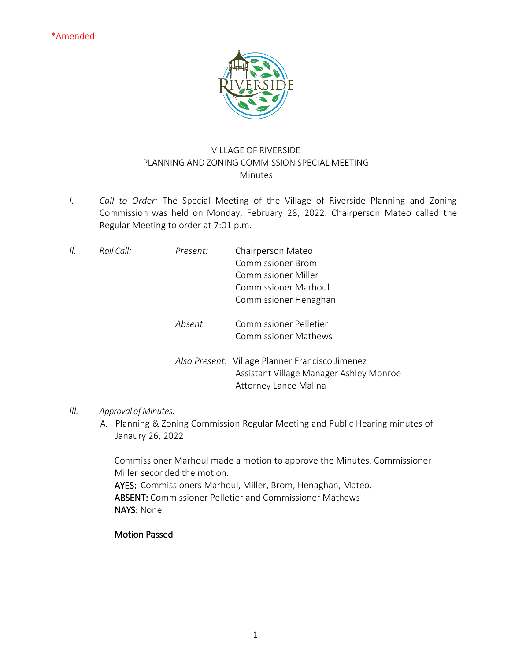

## VILLAGE OF RIVERSIDE PLANNING AND ZONING COMMISSION SPECIAL MEETING Minutes

*I. Call to Order:* The Special Meeting of the Village of Riverside Planning and Zoning Commission was held on Monday, February 28, 2022. Chairperson Mateo called the Regular Meeting to order at 7:01 p.m.

| II. | Roll Call: | Present: | Chairperson Mateo<br>Commissioner Brom<br><b>Commissioner Miller</b>                                                |
|-----|------------|----------|---------------------------------------------------------------------------------------------------------------------|
|     |            |          | <b>Commissioner Marhoul</b><br>Commissioner Henaghan                                                                |
|     |            | Absent:  | <b>Commissioner Pelletier</b><br><b>Commissioner Mathews</b>                                                        |
|     |            |          | Also Present: Village Planner Francisco Jimenez<br>Assistant Village Manager Ashley Monroe<br>Attorney Lance Malina |

## *III. Approval of Minutes:*

A. Planning & Zoning Commission Regular Meeting and Public Hearing minutes of Janaury 26, 2022

Commissioner Marhoul made a motion to approve the Minutes. Commissioner Miller seconded the motion.

AYES: Commissioners Marhoul, Miller, Brom, Henaghan, Mateo. ABSENT: Commissioner Pelletier and Commissioner Mathews NAYS: None

## Motion Passed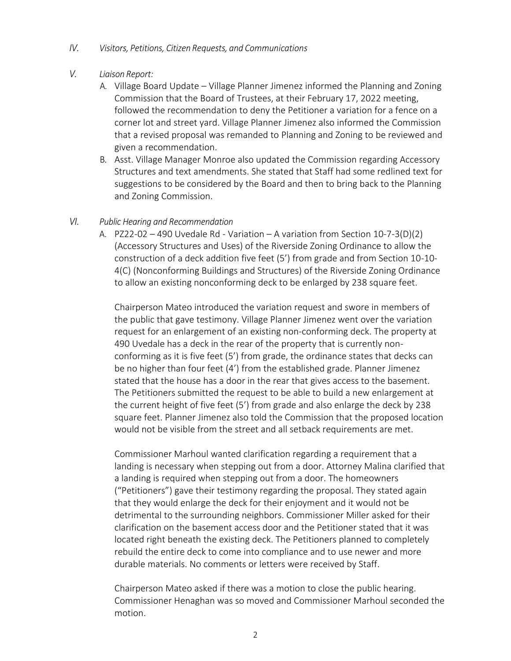- *IV. Visitors, Petitions, Citizen Requests, and Communications*
- *V. Liaison Report:*
	- A. Village Board Update Village Planner Jimenez informed the Planning and Zoning Commission that the Board of Trustees, at their February 17, 2022 meeting, followed the recommendation to deny the Petitioner a variation for a fence on a corner lot and street yard. Village Planner Jimenez also informed the Commission that a revised proposal was remanded to Planning and Zoning to be reviewed and given a recommendation.
	- B. Asst. Village Manager Monroe also updated the Commission regarding Accessory Structures and text amendments. She stated that Staff had some redlined text for suggestions to be considered by the Board and then to bring back to the Planning and Zoning Commission.

## *VI. Public Hearing and Recommendation*

A. PZ22-02 – 490 Uvedale Rd - Variation – A variation from Section 10-7-3(D)(2) (Accessory Structures and Uses) of the Riverside Zoning Ordinance to allow the construction of a deck addition five feet (5') from grade and from Section 10-10- 4(C) (Nonconforming Buildings and Structures) of the Riverside Zoning Ordinance to allow an existing nonconforming deck to be enlarged by 238 square feet.

Chairperson Mateo introduced the variation request and swore in members of the public that gave testimony. Village Planner Jimenez went over the variation request for an enlargement of an existing non-conforming deck. The property at 490 Uvedale has a deck in the rear of the property that is currently nonconforming as it is five feet (5') from grade, the ordinance states that decks can be no higher than four feet (4') from the established grade. Planner Jimenez stated that the house has a door in the rear that gives access to the basement. The Petitioners submitted the request to be able to build a new enlargement at the current height of five feet (5') from grade and also enlarge the deck by 238 square feet. Planner Jimenez also told the Commission that the proposed location would not be visible from the street and all setback requirements are met.

Commissioner Marhoul wanted clarification regarding a requirement that a landing is necessary when stepping out from a door. Attorney Malina clarified that a landing is required when stepping out from a door. The homeowners ("Petitioners") gave their testimony regarding the proposal. They stated again that they would enlarge the deck for their enjoyment and it would not be detrimental to the surrounding neighbors. Commissioner Miller asked for their clarification on the basement access door and the Petitioner stated that it was located right beneath the existing deck. The Petitioners planned to completely rebuild the entire deck to come into compliance and to use newer and more durable materials. No comments or letters were received by Staff.

Chairperson Mateo asked if there was a motion to close the public hearing. Commissioner Henaghan was so moved and Commissioner Marhoul seconded the motion.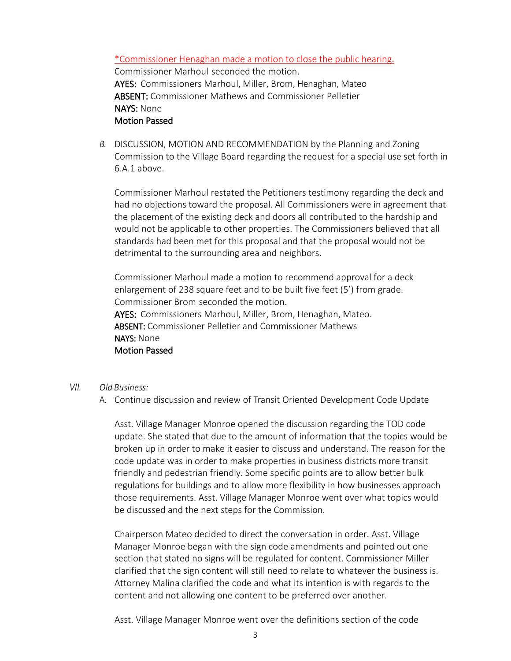\*Commissioner Henaghan made a motion to close the public hearing. Commissioner Marhoul seconded the motion. AYES: Commissioners Marhoul, Miller, Brom, Henaghan, Mateo ABSENT: Commissioner Mathews and Commissioner Pelletier NAYS: None Motion Passed

*B.* DISCUSSION, MOTION AND RECOMMENDATION by the Planning and Zoning Commission to the Village Board regarding the request for a special use set forth in 6.A.1 above.

Commissioner Marhoul restated the Petitioners testimony regarding the deck and had no objections toward the proposal. All Commissioners were in agreement that the placement of the existing deck and doors all contributed to the hardship and would not be applicable to other properties. The Commissioners believed that all standards had been met for this proposal and that the proposal would not be detrimental to the surrounding area and neighbors.

Commissioner Marhoul made a motion to recommend approval for a deck enlargement of 238 square feet and to be built five feet (5') from grade. Commissioner Brom seconded the motion.

AYES: Commissioners Marhoul, Miller, Brom, Henaghan, Mateo. ABSENT: Commissioner Pelletier and Commissioner Mathews NAYS: None Motion Passed

- *VII. Old Business:* 
	- A. Continue discussion and review of Transit Oriented Development Code Update

Asst. Village Manager Monroe opened the discussion regarding the TOD code update. She stated that due to the amount of information that the topics would be broken up in order to make it easier to discuss and understand. The reason for the code update was in order to make properties in business districts more transit friendly and pedestrian friendly. Some specific points are to allow better bulk regulations for buildings and to allow more flexibility in how businesses approach those requirements. Asst. Village Manager Monroe went over what topics would be discussed and the next steps for the Commission.

Chairperson Mateo decided to direct the conversation in order. Asst. Village Manager Monroe began with the sign code amendments and pointed out one section that stated no signs will be regulated for content. Commissioner Miller clarified that the sign content will still need to relate to whatever the business is. Attorney Malina clarified the code and what its intention is with regards to the content and not allowing one content to be preferred over another.

Asst. Village Manager Monroe went over the definitions section of the code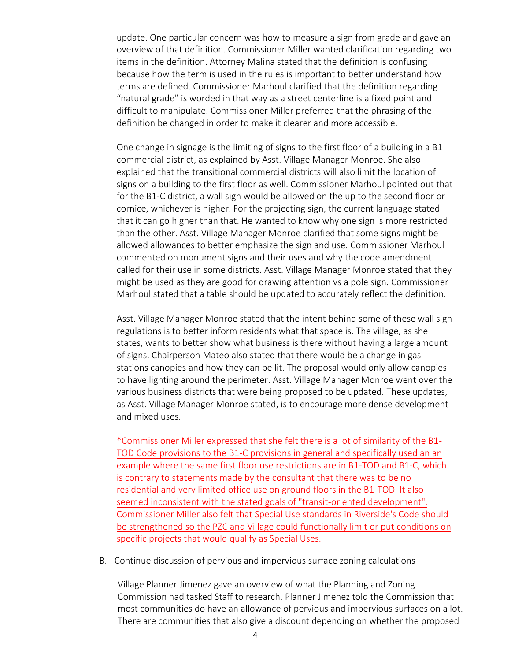update. One particular concern was how to measure a sign from grade and gave an overview of that definition. Commissioner Miller wanted clarification regarding two items in the definition. Attorney Malina stated that the definition is confusing because how the term is used in the rules is important to better understand how terms are defined. Commissioner Marhoul clarified that the definition regarding "natural grade" is worded in that way as a street centerline is a fixed point and difficult to manipulate. Commissioner Miller preferred that the phrasing of the definition be changed in order to make it clearer and more accessible.

One change in signage is the limiting of signs to the first floor of a building in a B1 commercial district, as explained by Asst. Village Manager Monroe. She also explained that the transitional commercial districts will also limit the location of signs on a building to the first floor as well. Commissioner Marhoul pointed out that for the B1-C district, a wall sign would be allowed on the up to the second floor or cornice, whichever is higher. For the projecting sign, the current language stated that it can go higher than that. He wanted to know why one sign is more restricted than the other. Asst. Village Manager Monroe clarified that some signs might be allowed allowances to better emphasize the sign and use. Commissioner Marhoul commented on monument signs and their uses and why the code amendment called for their use in some districts. Asst. Village Manager Monroe stated that they might be used as they are good for drawing attention vs a pole sign. Commissioner Marhoul stated that a table should be updated to accurately reflect the definition.

Asst. Village Manager Monroe stated that the intent behind some of these wall sign regulations is to better inform residents what that space is. The village, as she states, wants to better show what business is there without having a large amount of signs. Chairperson Mateo also stated that there would be a change in gas stations canopies and how they can be lit. The proposal would only allow canopies to have lighting around the perimeter. Asst. Village Manager Monroe went over the various business districts that were being proposed to be updated. These updates, as Asst. Village Manager Monroe stated, is to encourage more dense development and mixed uses.

\*Commissioner Miller expressed that she felt there is a lot of similarity of the B1- TOD Code provisions to the B1-C provisions in general and specifically used an an example where the same first floor use restrictions are in B1-TOD and B1-C, which is contrary to statements made by the consultant that there was to be no residential and very limited office use on ground floors in the B1-TOD. It also seemed inconsistent with the stated goals of "transit-oriented development". Commissioner Miller also felt that Special Use standards in Riverside's Code should be strengthened so the PZC and Village could functionally limit or put conditions on specific projects that would qualify as Special Uses.

B. Continue discussion of pervious and impervious surface zoning calculations

Village Planner Jimenez gave an overview of what the Planning and Zoning Commission had tasked Staff to research. Planner Jimenez told the Commission that most communities do have an allowance of pervious and impervious surfaces on a lot. There are communities that also give a discount depending on whether the proposed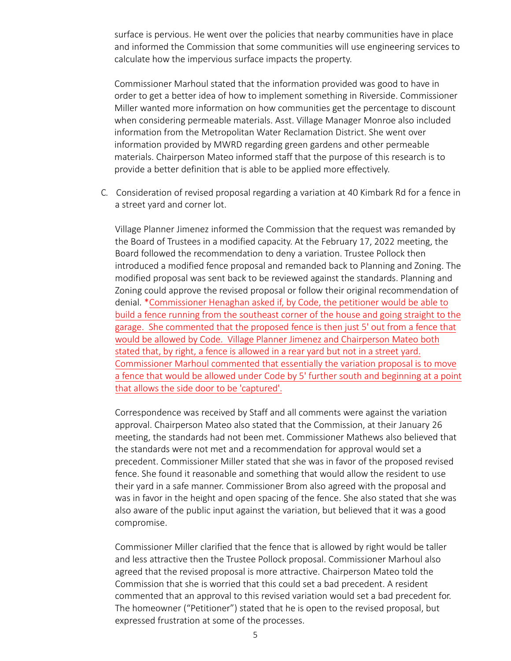surface is pervious. He went over the policies that nearby communities have in place and informed the Commission that some communities will use engineering services to calculate how the impervious surface impacts the property.

Commissioner Marhoul stated that the information provided was good to have in order to get a better idea of how to implement something in Riverside. Commissioner Miller wanted more information on how communities get the percentage to discount when considering permeable materials. Asst. Village Manager Monroe also included information from the Metropolitan Water Reclamation District. She went over information provided by MWRD regarding green gardens and other permeable materials. Chairperson Mateo informed staff that the purpose of this research is to provide a better definition that is able to be applied more effectively.

C. Consideration of revised proposal regarding a variation at 40 Kimbark Rd for a fence in a street yard and corner lot.

Village Planner Jimenez informed the Commission that the request was remanded by the Board of Trustees in a modified capacity. At the February 17, 2022 meeting, the Board followed the recommendation to deny a variation. Trustee Pollock then introduced a modified fence proposal and remanded back to Planning and Zoning. The modified proposal was sent back to be reviewed against the standards. Planning and Zoning could approve the revised proposal or follow their original recommendation of denial. \*Commissioner Henaghan asked if, by Code, the petitioner would be able to build a fence running from the southeast corner of the house and going straight to the garage. She commented that the proposed fence is then just 5' out from a fence that would be allowed by Code. Village Planner Jimenez and Chairperson Mateo both stated that, by right, a fence is allowed in a rear yard but not in a street yard. Commissioner Marhoul commented that essentially the variation proposal is to move a fence that would be allowed under Code by 5' further south and beginning at a point that allows the side door to be 'captured'.

Correspondence was received by Staff and all comments were against the variation approval. Chairperson Mateo also stated that the Commission, at their January 26 meeting, the standards had not been met. Commissioner Mathews also believed that the standards were not met and a recommendation for approval would set a precedent. Commissioner Miller stated that she was in favor of the proposed revised fence. She found it reasonable and something that would allow the resident to use their yard in a safe manner. Commissioner Brom also agreed with the proposal and was in favor in the height and open spacing of the fence. She also stated that she was also aware of the public input against the variation, but believed that it was a good compromise.

Commissioner Miller clarified that the fence that is allowed by right would be taller and less attractive then the Trustee Pollock proposal. Commissioner Marhoul also agreed that the revised proposal is more attractive. Chairperson Mateo told the Commission that she is worried that this could set a bad precedent. A resident commented that an approval to this revised variation would set a bad precedent for. The homeowner ("Petitioner") stated that he is open to the revised proposal, but expressed frustration at some of the processes.